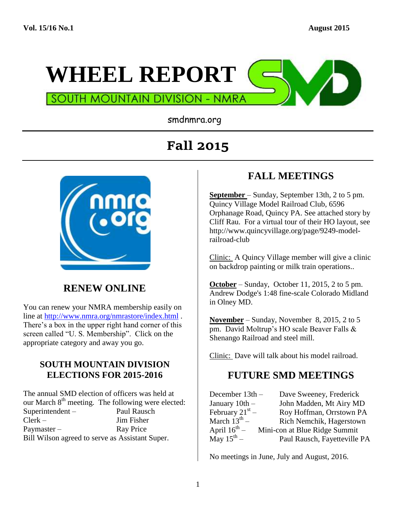

smdnmra.org

# **Fall 2015**



#### **RENEW ONLINE**

You can renew your NMRA membership easily on line at<http://www.nmra.org/nmrastore/index.html> . There's a box in the upper right hand corner of this screen called "U. S. Membership". Click on the appropriate category and away you go.

#### **SOUTH MOUNTAIN DIVISION ELECTIONS FOR 2015-2016**

The annual SMD election of officers was held at our March  $8<sup>th</sup>$  meeting. The following were elected: Superintendent – Paul Rausch Clerk – Jim Fisher Paymaster – Ray Price Bill Wilson agreed to serve as Assistant Super.

#### **FALL MEETINGS**

**September** – Sunday, September 13th, 2 to 5 pm. Quincy Village Model Railroad Club, 6596 Orphanage Road, Quincy PA. See attached story by Cliff Rau. For a virtual tour of their HO layout, see http://www.quincyvillage.org/page/9249-modelrailroad-club

Clinic: A Quincy Village member will give a clinic on backdrop painting or milk train operations..

**October** – Sunday, October 11, 2015, 2 to 5 pm. Andrew Dodge's 1:48 fine-scale Colorado Midland in Olney MD.

**November** – Sunday, November 8, 2015, 2 to 5 pm. David Moltrup's HO scale Beaver Falls & Shenango Railroad and steel mill.

Clinic: Dave will talk about his model railroad.

#### **FUTURE SMD MEETINGS**

| December 13th -          | Dave Sweeney, Frederick       |
|--------------------------|-------------------------------|
| January $10th$ –         | John Madden, Mt Airy MD       |
| February $21^{st}$ –     | Roy Hoffman, Orrstown PA      |
| March $13^{th}$ –        | Rich Nemchik, Hagerstown      |
| April $16^{\text{th}}$ – | Mini-con at Blue Ridge Summit |
| May $15^{th}$ –          | Paul Rausch, Fayetteville PA  |

No meetings in June, July and August, 2016.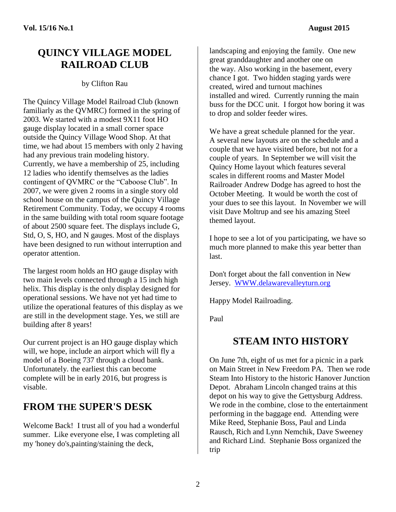#### **QUINCY VILLAGE MODEL RAILROAD CLUB**

#### by Clifton Rau

The Quincy Village Model Railroad Club (known familiarly as the QVMRC) formed in the spring of 2003. We started with a modest 9X11 foot HO gauge display located in a small corner space outside the Quincy Village Wood Shop. At that time, we had about 15 members with only 2 having had any previous train modeling history. Currently, we have a membership of 25, including 12 ladies who identify themselves as the ladies contingent of QVMRC or the "Caboose Club". In 2007, we were given 2 rooms in a single story old school house on the campus of the Quincy Village Retirement Community. Today, we occupy 4 rooms in the same building with total room square footage of about 2500 square feet. The displays include G, Std, O, S, HO, and N gauges. Most of the displays have been designed to run without interruption and operator attention.

The largest room holds an HO gauge display with two main levels connected through a 15 inch high helix. This display is the only display designed for operational sessions. We have not yet had time to utilize the operational features of this display as we are still in the development stage. Yes, we still are building after 8 years!

Our current project is an HO gauge display which will, we hope, include an airport which will fly a model of a Boeing 737 through a cloud bank. Unfortunately. the earliest this can become complete will be in early 2016, but progress is visable.

#### **FROM THE SUPER'S DESK**

Welcome Back! I trust all of you had a wonderful summer. Like everyone else, I was completing all my 'honey do's,painting/staining the deck,

landscaping and enjoying the family. One new great granddaughter and another one on the way. Also working in the basement, every chance I got. Two hidden staging yards were created, wired and turnout machines installed and wired. Currently running the main buss for the DCC unit. I forgot how boring it was to drop and solder feeder wires.

We have a great schedule planned for the year. A several new layouts are on the schedule and a couple that we have visited before, but not for a couple of years. In September we will visit the Quincy Home layout which features several scales in different rooms and Master Model Railroader Andrew Dodge has agreed to host the October Meeting. It would be worth the cost of your dues to see this layout. In November we will visit Dave Moltrup and see his amazing Steel themed layout.

I hope to see a lot of you participating, we have so much more planned to make this year better than last.

Don't forget about the fall convention in New Jersey. [WWW.delawarevalleyturn.org](http://www.delawarevalleyturn.org/)

Happy Model Railroading.

Paul

#### **STEAM INTO HISTORY**

On June 7th, eight of us met for a picnic in a park on Main Street in New Freedom PA. Then we rode Steam Into History to the historic Hanover Junction Depot. Abraham Lincoln changed trains at this depot on his way to give the Gettysburg Address. We rode in the combine, close to the entertainment performing in the baggage end. Attending were Mike Reed, Stephanie Boss, Paul and Linda Rausch, Rich and Lynn Nemchik, Dave Sweeney and Richard Lind. Stephanie Boss organized the trip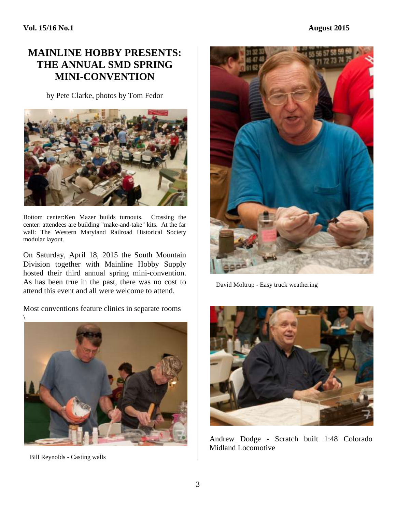#### **MAINLINE HOBBY PRESENTS: THE ANNUAL SMD SPRING MINI-CONVENTION**

by Pete Clarke, photos by Tom Fedor



Bottom center:Ken Mazer builds turnouts. Crossing the center: attendees are building "make-and-take" kits. At the far wall: The Western Maryland Railroad Historical Society modular layout.

On Saturday, April 18, 2015 the South Mountain Division together with Mainline Hobby Supply hosted their third annual spring mini-convention. As has been true in the past, there was no cost to attend this event and all were welcome to attend.

Most conventions feature clinics in separate rooms



Bill Reynolds - Casting walls



David Moltrup - Easy truck weathering



Andrew Dodge - Scratch built 1:48 Colorado Midland Locomotive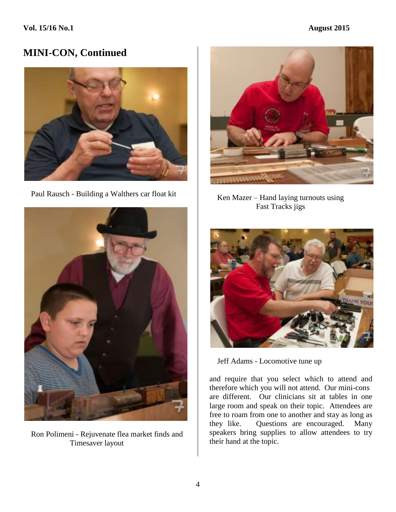

Paul Rausch - Building a Walthers car float kit



 Ron Polimeni - Rejuvenate flea market finds and Timesaver layout



 Ken Mazer – Hand laying turnouts using Fast Tracks jigs



Jeff Adams - Locomotive tune up

and require that you select which to attend and therefore which you will not attend. Our mini-cons are different. Our clinicians sit at tables in one large room and speak on their topic. Attendees are free to roam from one to another and stay as long as they like. Questions are encouraged. Many speakers bring supplies to allow attendees to try their hand at the topic.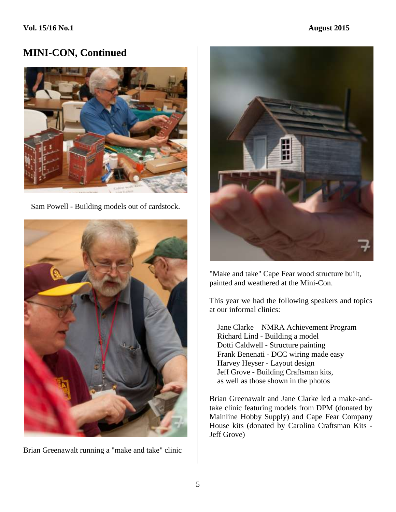

Sam Powell - Building models out of cardstock.



Brian Greenawalt running a "make and take" clinic



"Make and take" Cape Fear wood structure built, painted and weathered at the Mini-Con.

This year we had the following speakers and topics at our informal clinics:

 Jane Clarke – NMRA Achievement Program Richard Lind - Building a model Dotti Caldwell - Structure painting Frank Benenati - DCC wiring made easy Harvey Heyser - Layout design Jeff Grove - Building Craftsman kits, as well as those shown in the photos

Brian Greenawalt and Jane Clarke led a make-andtake clinic featuring models from DPM (donated by Mainline Hobby Supply) and Cape Fear Company House kits (donated by Carolina Craftsman Kits - Jeff Grove)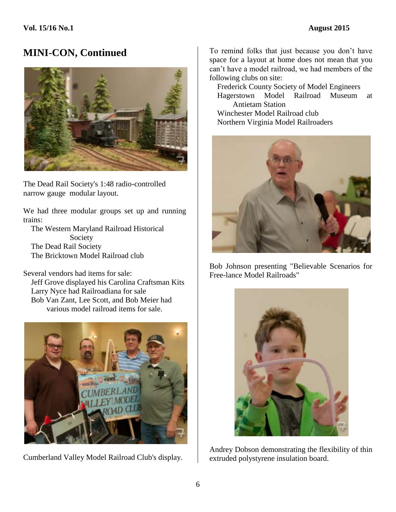

The Dead Rail Society's 1:48 radio-controlled narrow gauge modular layout.

We had three modular groups set up and running trains:

 The Western Maryland Railroad Historical Society The Dead Rail Society The Bricktown Model Railroad club

Several vendors had items for sale: Jeff Grove displayed his Carolina Craftsman Kits Larry Nyce had Railroadiana for sale Bob Van Zant, Lee Scott, and Bob Meier had various model railroad items for sale.



Cumberland Valley Model Railroad Club's display.

To remind folks that just because you don't have space for a layout at home does not mean that you can't have a model railroad, we had members of the following clubs on site:

 Frederick County Society of Model Engineers Hagerstown Model Railroad Museum at Antietam Station Winchester Model Railroad club

Northern Virginia Model Railroaders



Bob Johnson presenting "Believable Scenarios for Free-lance Model Railroads"



Andrey Dobson demonstrating the flexibility of thin extruded polystyrene insulation board.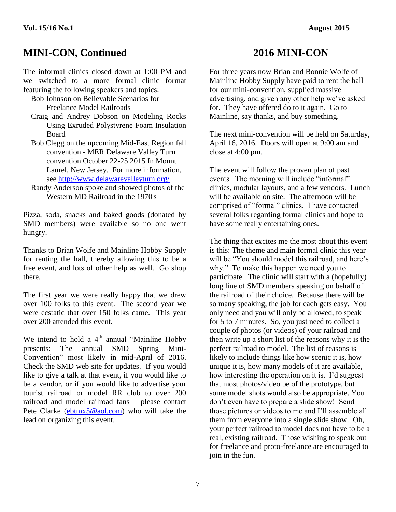The informal clinics closed down at 1:00 PM and we switched to a more formal clinic format featuring the following speakers and topics:

 Bob Johnson on Believable Scenarios for Freelance Model Railroads

- Craig and Andrey Dobson on Modeling Rocks Using Exruded Polystyrene Foam Insulation Board
- Bob Clegg on the upcoming Mid-East Region fall convention - MER Delaware Valley Turn convention October 22-25 2015 In Mount Laurel, New Jersey. For more information, see <http://www.delawarevalleyturn.org/>
- Randy Anderson spoke and showed photos of the Western MD Railroad in the 1970's

Pizza, soda, snacks and baked goods (donated by SMD members) were available so no one went hungry.

Thanks to Brian Wolfe and Mainline Hobby Supply for renting the hall, thereby allowing this to be a free event, and lots of other help as well. Go shop there.

The first year we were really happy that we drew over 100 folks to this event. The second year we were ecstatic that over 150 folks came. This year over 200 attended this event.

We intend to hold a  $4<sup>th</sup>$  annual "Mainline Hobby presents: The annual SMD Spring Mini-Convention" most likely in mid-April of 2016. Check the SMD web site for updates. If you would like to give a talk at that event, if you would like to be a vendor, or if you would like to advertise your tourist railroad or model RR club to over 200 railroad and model railroad fans – please contact Pete Clarke [\(ebtmx5@aol.com\)](mailto:ebtmx5@aol.com) who will take the lead on organizing this event.

#### **2016 MINI-CON**

For three years now Brian and Bonnie Wolfe of Mainline Hobby Supply have paid to rent the hall for our mini-convention, supplied massive advertising, and given any other help we've asked for. They have offered do to it again. Go to Mainline, say thanks, and buy something.

The next mini-convention will be held on Saturday, April 16, 2016. Doors will open at 9:00 am and close at 4:00 pm.

The event will follow the proven plan of past events. The morning will include "informal" clinics, modular layouts, and a few vendors. Lunch will be available on site. The afternoon will be comprised of "formal" clinics. I have contacted several folks regarding formal clinics and hope to have some really entertaining ones.

The thing that excites me the most about this event is this: The theme and main formal clinic this year will be "You should model this railroad, and here's why." To make this happen we need you to participate. The clinic will start with a (hopefully) long line of SMD members speaking on behalf of the railroad of their choice. Because there will be so many speaking, the job for each gets easy. You only need and you will only be allowed, to speak for 5 to 7 minutes. So, you just need to collect a couple of photos (or videos) of your railroad and then write up a short list of the reasons why it is the perfect railroad to model. The list of reasons is likely to include things like how scenic it is, how unique it is, how many models of it are available, how interesting the operation on it is. I'd suggest that most photos/video be of the prototype, but some model shots would also be appropriate. You don't even have to prepare a slide show! Send those pictures or videos to me and I'll assemble all them from everyone into a single slide show. Oh, your perfect railroad to model does not have to be a real, existing railroad. Those wishing to speak out for freelance and proto-freelance are encouraged to join in the fun.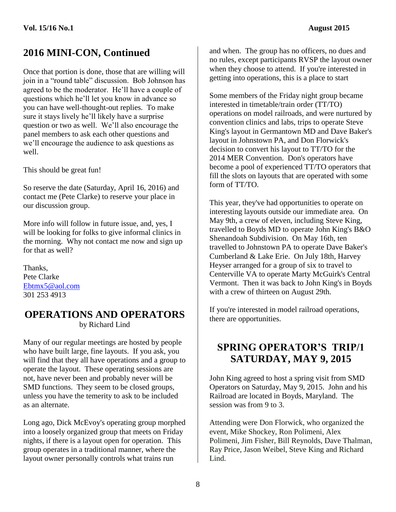Once that portion is done, those that are willing will join in a "round table" discussion. Bob Johnson has agreed to be the moderator. He'll have a couple of questions which he'll let you know in advance so you can have well-thought-out replies. To make sure it stays lively he'll likely have a surprise question or two as well. We'll also encourage the panel members to ask each other questions and we'll encourage the audience to ask questions as well.

This should be great fun!

So reserve the date (Saturday, April 16, 2016) and contact me (Pete Clarke) to reserve your place in our discussion group.

More info will follow in future issue, and, yes, I will be looking for folks to give informal clinics in the morning. Why not contact me now and sign up for that as well?

Thanks, Pete Clarke [Ebtmx5@aol.com](mailto:Ebtmx5@aol.com) 301 253 4913

#### **OPERATIONS AND OPERATORS** by Richard Lind

Many of our regular meetings are hosted by people who have built large, fine layouts. If you ask, you will find that they all have operations and a group to operate the layout. These operating sessions are not, have never been and probably never will be SMD functions. They seem to be closed groups, unless you have the temerity to ask to be included as an alternate.

Long ago, Dick McEvoy's operating group morphed into a loosely organized group that meets on Friday nights, if there is a layout open for operation. This group operates in a traditional manner, where the layout owner personally controls what trains run

and when. The group has no officers, no dues and no rules, except participants RVSP the layout owner when they choose to attend. If you're interested in getting into operations, this is a place to start

Some members of the Friday night group became interested in timetable/train order (TT/TO) operations on model railroads, and were nurtured by convention clinics and labs, trips to operate Steve King's layout in Germantown MD and Dave Baker's layout in Johnstown PA, and Don Florwick's decision to convert his layout to TT/TO for the 2014 MER Convention. Don's operators have become a pool of experienced TT/TO operators that fill the slots on layouts that are operated with some form of TT/TO.

This year, they've had opportunities to operate on interesting layouts outside our immediate area. On May 9th, a crew of eleven, including Steve King, travelled to Boyds MD to operate John King's B&O Shenandoah Subdivision. On May 16th, ten travelled to Johnstown PA to operate Dave Baker's Cumberland & Lake Erie. On July 18th, Harvey Heyser arranged for a group of six to travel to Centerville VA to operate Marty McGuirk's Central Vermont. Then it was back to John King's in Boyds with a crew of thirteen on August 29th.

If you're interested in model railroad operations, there are opportunities.

#### **SPRING OPERATOR'S TRIP/1 SATURDAY, MAY 9, 2015**

John King agreed to host a spring visit from SMD Operators on Saturday, May 9, 2015. John and his Railroad are located in Boyds, Maryland. The session was from 9 to 3.

Attending were Don Florwick, who organized the event, Mike Shockey, Ron Polimeni, Alex Polimeni, Jim Fisher, Bill Reynolds, Dave Thalman, Ray Price, Jason Weibel, Steve King and Richard Lind.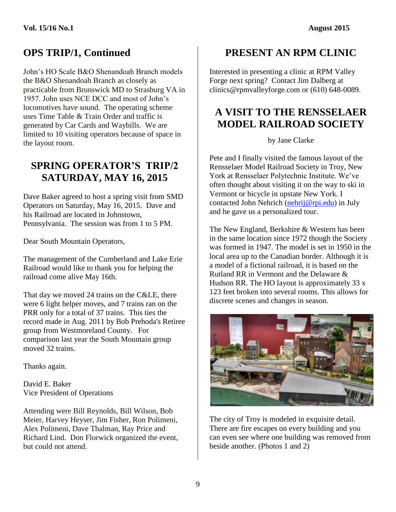## **OPS TRIP/1, Continued**

John's HO Scale B&O Shenandoah Branch models the B&O Shenandoah Branch as closely as practicable from Brunswick MD to Strasburg VA in 1957. John uses NCE DCC and most of John's locomotives have sound. The operating scheme uses Time Table & Train Order and traffic is generated by Car Cards and Waybills. We are limited to 10 visiting operators because of space in the layout room.

#### **SPRING OPERATOR'S TRIP/2 SATURDAY, MAY 16, 2015**

Dave Baker agreed to host a spring visit from SMD Operators on Saturday, May 16, 2015. Dave and his Railroad are located in Johnstown, Pennsylvania. The session was from 1 to 5 PM.

Dear South Mountain Operators,

The management of the Cumberland and Lake Erie Railroad would like to thank you for helping the railroad come alive May 16th.

That day we moved 24 trains on the C&LE, there were 6 light helper moves, and 7 trains ran on the PRR only for a total of 37 trains. This ties the record made in Aug. 2011 by Bob Prehoda's Retiree group from Westmoreland County. For comparison last year the South Mountain group moved 32 trains.

Thanks again.

David E. Baker Vice President of Operations

Attending were Bill Reynolds, Bill Wilson, Bob Meier, Harvey Heyser, Jim Fisher, Ron Polimeni, Alex Polimeni, Dave Thalman, Ray Price and Richard Lind. Don Florwick organized the event, but could not attend.

## **PRESENT AN RPM CLINIC**

Interested in presenting a clinic at RPM Valley Forge next spring? Contact Jim Dalberg at clinics@rpmvalleyforge.com or (610) 648-0089.

#### **A VISIT TO THE RENSSELAER MODEL RAILROAD SOCIETY**

by Jane Clarke

Pete and I finally visited the famous layout of the Rensselaer Model Railroad Society in Troy, New York at Rensselaer Polytechnic Institute. We've often thought about visiting it on the way to ski in Vermont or bicycle in upstate New York. I contacted John Nehrich [\(nehrij@rpi.edu\)](mailto:nehrij@rpi.edu) in July and he gave us a personalized tour.

The New England, Berkshire & Western has been in the same location since 1972 though the Society was formed in 1947. The model is set in 1950 in the local area up to the Canadian border. Although it is a model of a fictional railroad, it is based on the Rutland RR in Vermont and the Delaware & Hudson RR. The HO layout is approximately 33 x 123 feet broken into several rooms. This allows for discrete scenes and changes in season.



The city of Troy is modeled in exquisite detail. There are fire escapes on every building and you can even see where one building was removed from beside another. (Photos 1 and 2)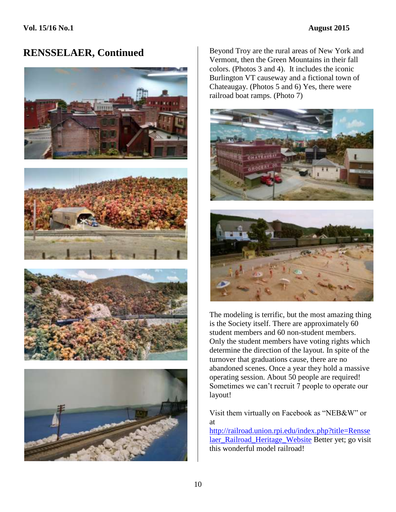







**RENSSELAER, Continued** Beyond Troy are the rural areas of New York and Vermont, then the Green Mountains in their fall colors. (Photos 3 and 4). It includes the iconic Burlington VT causeway and a fictional town of Chateaugay. (Photos 5 and 6) Yes, there were railroad boat ramps. (Photo 7)





The modeling is terrific, but the most amazing thing is the Society itself. There are approximately 60 student members and 60 non-student members. Only the student members have voting rights which determine the direction of the layout. In spite of the turnover that graduations cause, there are no abandoned scenes. Once a year they hold a massive operating session. About 50 people are required! Sometimes we can't recruit 7 people to operate our layout!

Visit them virtually on Facebook as "NEB&W" or at

[http://railroad.union.rpi.edu/index.php?title=Rensse](http://railroad.union.rpi.edu/index.php?title=Rensselaer_Railroad_Heritage_Website) [laer\\_Railroad\\_Heritage\\_Website](http://railroad.union.rpi.edu/index.php?title=Rensselaer_Railroad_Heritage_Website) Better yet; go visit this wonderful model railroad!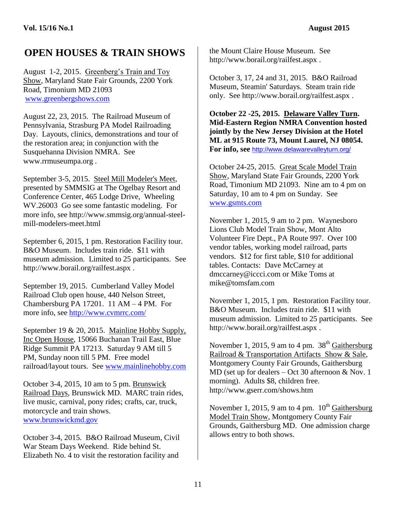## **OPEN HOUSES & TRAIN SHOWS**

August 1-2, 2015. Greenberg's Train and Toy Show, Maryland State Fair Grounds, 2200 York Road, Timonium MD 21093 [www.greenbergshows.com](http://www.greenbergshows.com/)

August 22, 23, 2015. The Railroad Museum of Pennsylvania, Strasburg PA Model Railroading Day. Layouts, clinics, demonstrations and tour of the restoration area; in conjunction with the Susquehanna Division NMRA. See www.rrmuseumpa.org .

September 3-5, 2015. Steel Mill Modeler's Meet, presented by SMMSIG at The Ogelbay Resort and Conference Center, 465 Lodge Drive, Wheeling WV.26003 Go see some fantastic modeling. For more info, see http://www.smmsig.org/annual-steelmill-modelers-meet.html

September 6, 2015, 1 pm. Restoration Facility tour. B&O Museum. Includes train ride. \$11 with museum admission. Limited to 25 participants. See http://www.borail.org/railfest.aspx .

September 19, 2015. Cumberland Valley Model Railroad Club open house, 440 Nelson Street, Chambersburg PA 17201. 11 AM – 4 PM. For more info, see<http://www.cvmrrc.com/>

September 19 & 20, 2015. Mainline Hobby Supply, Inc Open House, 15066 Buchanan Trail East, Blue Ridge Summit PA 17213. Saturday 9 AM till 5 PM, Sunday noon till 5 PM. Free model railroad/layout tours. See [www.mainlinehobby.com](http://www.mainlinehobby.com/)

October 3-4, 2015, 10 am to 5 pm. Brunswick Railroad Days, Brunswick MD. MARC train rides, live music, carnival, pony rides; crafts, car, truck, motorcycle and train shows. [www.brunswickmd.gov](http://www.brunswickmd.gov/)

October 3-4, 2015. B&O Railroad Museum, Civil War Steam Days Weekend. Ride behind St. Elizabeth No. 4 to visit the restoration facility and

the Mount Claire House Museum. See http://www.borail.org/railfest.aspx .

October 3, 17, 24 and 31, 2015. B&O Railroad Museum, Steamin' Saturdays. Steam train ride only. See http://www.borail.org/railfest.aspx .

**October 22 -25, 2015. Delaware Valley Turn. Mid-Eastern Region NMRA Convention hosted jointly by the New Jersey Division at the Hotel ML at 915 Route 73, Mount Laurel, NJ 08054. For info, see** <http://www.delawarevalleyturn.org/>

October 24-25, 2015. Great Scale Model Train Show, Maryland State Fair Grounds, 2200 York Road, Timonium MD 21093. Nine am to 4 pm on Saturday, 10 am to 4 pm on Sunday. See [www.gsmts.com](http://www.gsmts.com/)

November 1, 2015, 9 am to 2 pm. Waynesboro Lions Club Model Train Show, Mont Alto Volunteer Fire Dept., PA Route 997. Over 100 vendor tables, working model railroad, parts vendors. \$12 for first table, \$10 for additional tables. Contacts: Dave McCarney at dmccarney@iccci.com or Mike Toms at mike@tomsfam.com

November 1, 2015, 1 pm. Restoration Facility tour. B&O Museum. Includes train ride. \$11 with museum admission. Limited to 25 participants. See http://www.borail.org/railfest.aspx .

November 1, 2015, 9 am to 4 pm.  $38<sup>th</sup>$  Gaithersburg Railroad & Transportation Artifacts Show & Sale, Montgomery County Fair Grounds, Gaithersburg MD (set up for dealers – Oct 30 afternoon & Nov. 1 morning). Adults \$8, children free. http://www.gserr.com/shows.htm

November 1, 2015, 9 am to 4 pm.  $10^{th}$  Gaithersburg Model Train Show, Montgomery County Fair Grounds, Gaithersburg MD. One admission charge allows entry to both shows.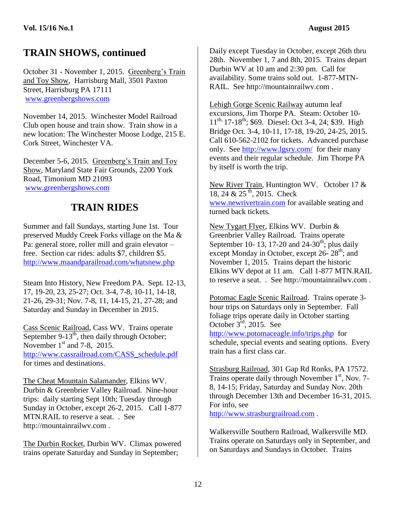## **TRAIN SHOWS, continued**

October 31 - November 1, 2015. Greenberg's Train and Toy Show, Harrisburg Mall, 3501 Paxton Street, Harrisburg PA 17111 [www.greenbergshows.com](http://www.greenbergshows.com/)

November 14, 2015. Winchester Model Railroad Club open house and train show. Train show in a new location: The Winchester Moose Lodge, 215 E. Cork Street, Winchester VA.

December 5-6, 2015. Greenberg's Train and Toy Show, Maryland State Fair Grounds, 2200 York Road, Timonium MD 21093 [www.greenbergshows.com](http://www.greenbergshows.com/)

#### **TRAIN RIDES**

Summer and fall Sundays, starting June 1st. Tour preserved Muddy Creek Forks village on the Ma & Pa: general store, roller mill and grain elevator – free. Section car rides: adults \$7, children \$5. <http://www.maandparailroad.com/whatsnew.php>

Steam Into History, New Freedom PA. Sept. 12-13, 17, 19-20, 23, 25-27; Oct. 3-4, 7-8, 10-11, 14-18, 21-26, 29-31; Nov. 7-8, 11, 14-15, 21, 27-28; and Saturday and Sunday in December in 2015.

Cass Scenic Railroad, Cass WV. Trains operate September  $9-13^{th}$ , then daily through October; November  $1<sup>st</sup>$  and 7-8, 2015. [http://www.cassrailroad.com/CASS\\_schedule.pdf](http://www.cassrailroad.com/CASS_schedule.pdf) for times and destinations.

The Cheat Mountain Salamander, Elkins WV. Durbin & Greenbrier Valley Railroad. Nine-hour trips: daily starting Sept 10th; Tuesday through Sunday in October, except 26-2, 2015. Call 1-877 MTN.RAIL to reserve a seat. . See http://mountainrailwv.com .

The Durbin Rocket, Durbin WV. Climax powered trains operate Saturday and Sunday in September;

Daily except Tuesday in October, except 26th thru 28th. November 1, 7 and 8th, 2015. Trains depart Durbin WV at 10 am and 2:30 pm. Call for availability. Some trains sold out. 1-877-MTN-RAIL. See http://mountainrailwv.com .

Lehigh Gorge Scenic Railway autumn leaf excursions, Jim Thorpe PA. Steam: October 10- 11<sup>th,</sup> 17-18<sup>th</sup>; \$69. Diesel: Oct 3-4, 24; \$39. High Bridge Oct. 3-4, 10-11, 17-18, 19-20, 24-25, 2015. Call 610-562-2102 for tickets. Advanced purchase only. See<http://www.lgsry.com/>for their many events and their regular schedule. Jim Thorpe PA by itself is worth the trip.

New River Train, Huntington WV. October 17 &  $18, 24 \& 25$ <sup>th</sup>, 2015. Check [www.newrivertrain.com](http://www.newrivertrain.com/) for available seating and turned back tickets.

New Tygart Flyer, Elkins WV. Durbin & Greenbrier Valley Railroad. Trains operate September 10- 13, 17-20 and 24-30<sup>th</sup>; plus daily except Monday in October, except  $26 - 28$ <sup>th</sup>; and November 1, 2015. Trains depart the historic Elkins WV depot at 11 am. Call 1-877 MTN.RAIL to reserve a seat. . See http://mountainrailwv.com .

Potomac Eagle Scenic Railroad. Trains operate 3 hour trips on Saturdays only in September. Fall foliage trips operate daily in October starting October  $3^{\text{rd}}$ , 2015. See

<http://www.potomaceagle.info/trips.php>for schedule, special events and seating options. Every train has a first class car.

Strasburg Railroad, 301 Gap Rd Ronks, PA 17572. Trains operate daily through November 1<sup>st</sup>, Nov. 7-8, 14-15; Friday, Saturday and Sunday Nov. 20th through December 13th and December 16-31, 2015. For info, see

[http://www.strasburgrailroad.com](http://www.strasburgrailroad.com/) .

Walkersville Southern Railroad, Walkersville MD. Trains operate on Saturdays only in September, and on Saturdays and Sundays in October. Trains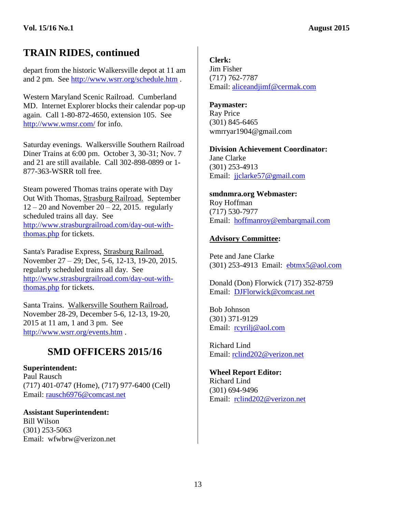## **TRAIN RIDES, continued**

depart from the historic Walkersville depot at 11 am and 2 pm. See<http://www.wsrr.org/schedule.htm> .

Western Maryland Scenic Railroad. Cumberland MD. Internet Explorer blocks their calendar pop-up again. Call 1-80-872-4650, extension 105. See <http://www.wmsr.com/> for info.

Saturday evenings. Walkersville Southern Railroad Diner Trains at 6:00 pm. October 3, 30-31; Nov. 7 and 21 are still available. Call 302-898-0899 or 1- 877-363-WSRR toll free.

Steam powered Thomas trains operate with Day Out With Thomas, Strasburg Railroad. September  $12 - 20$  and November  $20 - 22$ , 2015. regularly scheduled trains all day. See [http://www.strasburgrailroad.com/day-out-with](http://www.strasburgrailroad.com/day-out-with-thomas.php)[thomas.php](http://www.strasburgrailroad.com/day-out-with-thomas.php) for tickets.

Santa's Paradise Express, Strasburg Railroad. November 27 – 29; Dec, 5-6, 12-13, 19-20, 2015. regularly scheduled trains all day. See [http://www.strasburgrailroad.com/day-out-with](http://www.strasburgrailroad.com/day-out-with-thomas.php)[thomas.php](http://www.strasburgrailroad.com/day-out-with-thomas.php) for tickets.

Santa Trains. Walkersville Southern Railroad, November 28-29, December 5-6, 12-13, 19-20, 2015 at 11 am, 1 and 3 pm. See <http://www.wsrr.org/events.htm> .

#### **SMD OFFICERS 2015/16**

**Superintendent:** Paul Rausch (717) 401-0747 (Home), (717) 977-6400 (Cell) Email: [rausch6976@comcast.net](mailto:rausch6976@comcast.net)

**Assistant Superintendent:** Bill Wilson (301) 253-5063 Email: wfwbrw@verizon.net **Clerk:**

Jim Fisher (717) 762-7787 Email: [aliceandjimf@cermak.com](mailto:aliceandjimf@cermak.com)

#### **Paymaster:**

Ray Price (301) 845-6465 wmrryar1904@gmail.com

**Division Achievement Coordinator:** Jane Clarke (301) 253-4913 Email: [jjclarke57@gmail.com](mailto:Jane.Clarke@BioReliance.com)

**smdnmra.org Webmaster:** Roy Hoffman (717) 530-7977 Email: [hoffmanroy@embarqmail.com](mailto:hoffmanroy@embarqmail.com)

#### **Advisory Committee:**

Pete and Jane Clarke (301) 253-4913 Email: [ebtmx5@aol.com](mailto:ebtmx5@aol.com)

Donald (Don) Florwick (717) 352-8759 Email: [DJFlorwick@comcast.net](mailto:DJFlorwick@comcast.net)

Bob Johnson (301) 371-9129 Email: [rcyrilj@aol.com](mailto:rcyrilj@aol.com)

Richard Lind Email: [rclind202@verizon.net](mailto:SHOgone@aol.com)

**Wheel Report Editor:** Richard Lind (301) 694-9496 Email: [rclind202@verizon.net](mailto:SHOgone@aol.com)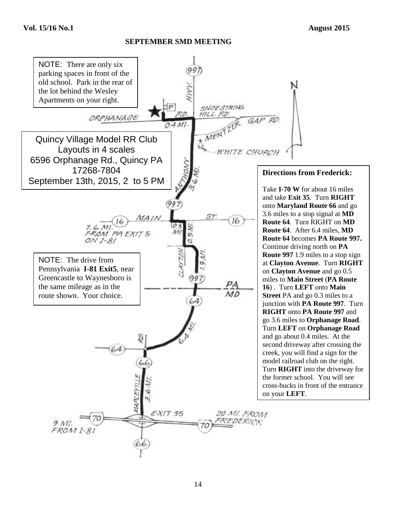#### **SEPTEMBER SMD MEETING**

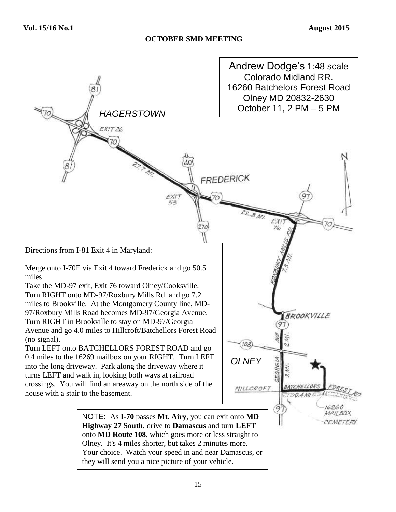#### **OCTOBER SMD MEETING**

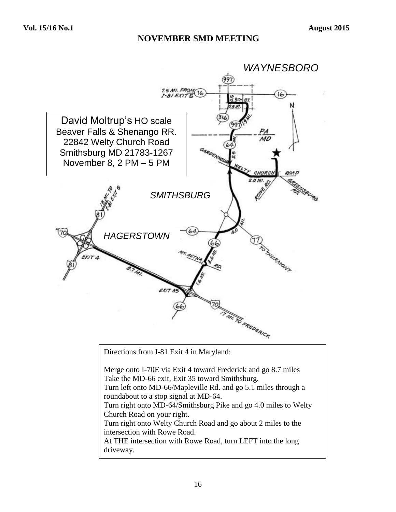#### **NOVEMBER SMD MEETING**